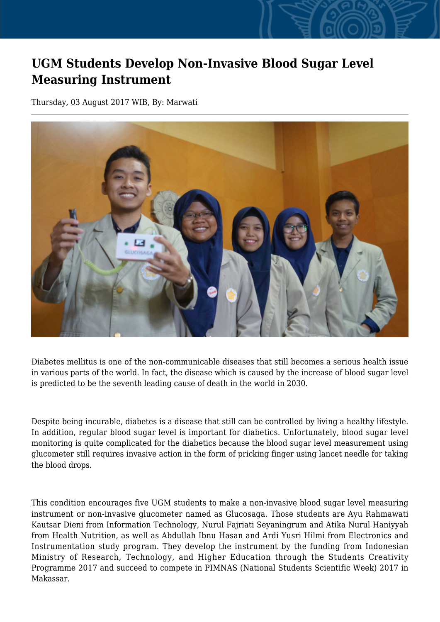## **UGM Students Develop Non-Invasive Blood Sugar Level Measuring Instrument**

Thursday, 03 August 2017 WIB, By: Marwati



Diabetes mellitus is one of the non-communicable diseases that still becomes a serious health issue in various parts of the world. In fact, the disease which is caused by the increase of blood sugar level is predicted to be the seventh leading cause of death in the world in 2030.

Despite being incurable, diabetes is a disease that still can be controlled by living a healthy lifestyle. In addition, regular blood sugar level is important for diabetics. Unfortunately, blood sugar level monitoring is quite complicated for the diabetics because the blood sugar level measurement using glucometer still requires invasive action in the form of pricking finger using lancet needle for taking the blood drops.

This condition encourages five UGM students to make a non-invasive blood sugar level measuring instrument or non-invasive glucometer named as Glucosaga. Those students are Ayu Rahmawati Kautsar Dieni from Information Technology, Nurul Fajriati Seyaningrum and Atika Nurul Haniyyah from Health Nutrition, as well as Abdullah Ibnu Hasan and Ardi Yusri Hilmi from Electronics and Instrumentation study program. They develop the instrument by the funding from Indonesian Ministry of Research, Technology, and Higher Education through the Students Creativity Programme 2017 and succeed to compete in PIMNAS (National Students Scientific Week) 2017 in Makassar.